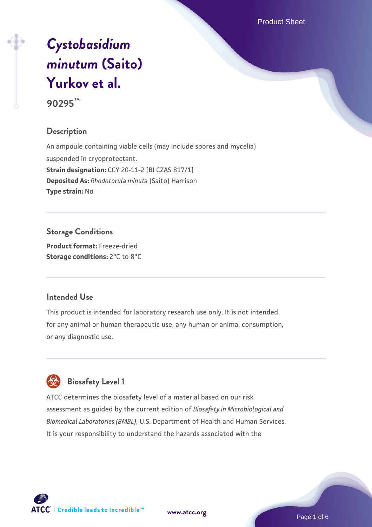Product Sheet

# *[Cystobasidium](https://www.atcc.org/products/90295) [minutum](https://www.atcc.org/products/90295)* **[\(Saito\)](https://www.atcc.org/products/90295) [Yurkov et al.](https://www.atcc.org/products/90295) 90295™**

#### **Description**

An ampoule containing viable cells (may include spores and mycelia) suspended in cryoprotectant. **Strain designation:** CCY 20-11-2 [BI CZAS 817/1] **Deposited As:** *Rhodotorula minuta* (Saito) Harrison **Type strain:** No

#### **Storage Conditions**

**Product format:** Freeze-dried **Storage conditions:** 2°C to 8°C

#### **Intended Use**

This product is intended for laboratory research use only. It is not intended for any animal or human therapeutic use, any human or animal consumption, or any diagnostic use.

# **Biosafety Level 1**

ATCC determines the biosafety level of a material based on our risk assessment as guided by the current edition of *Biosafety in Microbiological and Biomedical Laboratories (BMBL)*, U.S. Department of Health and Human Services. It is your responsibility to understand the hazards associated with the



**[www.atcc.org](http://www.atcc.org)**

Page 1 of 6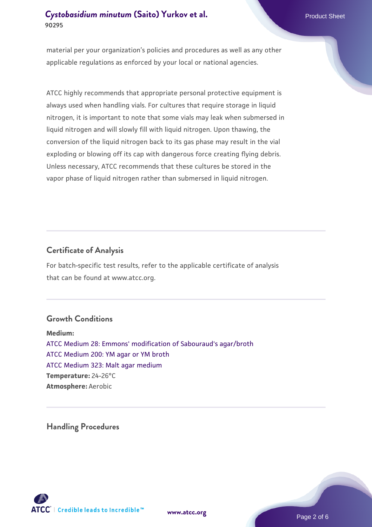#### **[Cystobasidium minutum](https://www.atcc.org/products/90295) [\(Saito\) Yurkov et al.](https://www.atcc.org/products/90295)** Product Sheet **90295**

material per your organization's policies and procedures as well as any other applicable regulations as enforced by your local or national agencies.

ATCC highly recommends that appropriate personal protective equipment is always used when handling vials. For cultures that require storage in liquid nitrogen, it is important to note that some vials may leak when submersed in liquid nitrogen and will slowly fill with liquid nitrogen. Upon thawing, the conversion of the liquid nitrogen back to its gas phase may result in the vial exploding or blowing off its cap with dangerous force creating flying debris. Unless necessary, ATCC recommends that these cultures be stored in the vapor phase of liquid nitrogen rather than submersed in liquid nitrogen.

#### **Certificate of Analysis**

For batch-specific test results, refer to the applicable certificate of analysis that can be found at www.atcc.org.

#### **Growth Conditions**

**Medium:**  [ATCC Medium 28: Emmons' modification of Sabouraud's agar/broth](https://www.atcc.org/-/media/product-assets/documents/microbial-media-formulations/2/8/atcc-medium-28.pdf?rev=0da0c58cc2a343eeae735016b70809bb) [ATCC Medium 200: YM agar or YM broth](https://www.atcc.org/-/media/product-assets/documents/microbial-media-formulations/2/0/0/atcc-medium-200.pdf?rev=ac40fd74dc13433a809367b0b9da30fc) [ATCC Medium 323: Malt agar medium](https://www.atcc.org/-/media/product-assets/documents/microbial-media-formulations/3/2/3/atcc-medium-323.pdf?rev=58d6457ee20149d7a1c844947569ef92) **Temperature:** 24-26°C **Atmosphere:** Aerobic

**Handling Procedures**



**[www.atcc.org](http://www.atcc.org)**

Page 2 of 6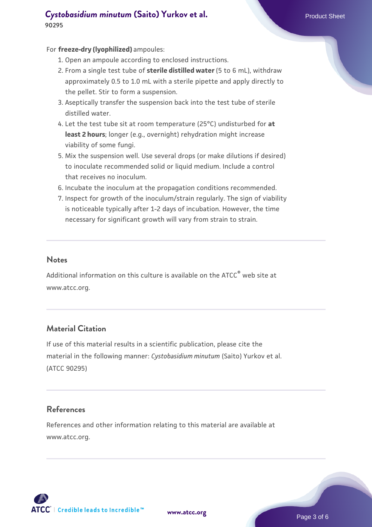### **[Cystobasidium minutum](https://www.atcc.org/products/90295) [\(Saito\) Yurkov et al.](https://www.atcc.org/products/90295)** Product Sheet **90295**

#### For **freeze-dry (lyophilized)** ampoules:

- 1. Open an ampoule according to enclosed instructions.
- 2. From a single test tube of **sterile distilled water** (5 to 6 mL), withdraw approximately 0.5 to 1.0 mL with a sterile pipette and apply directly to the pellet. Stir to form a suspension.
- 3. Aseptically transfer the suspension back into the test tube of sterile distilled water.
- Let the test tube sit at room temperature (25°C) undisturbed for **at** 4. **least 2 hours**; longer (e.g., overnight) rehydration might increase viability of some fungi.
- Mix the suspension well. Use several drops (or make dilutions if desired) 5. to inoculate recommended solid or liquid medium. Include a control that receives no inoculum.
- 6. Incubate the inoculum at the propagation conditions recommended.
- 7. Inspect for growth of the inoculum/strain regularly. The sign of viability is noticeable typically after 1-2 days of incubation. However, the time necessary for significant growth will vary from strain to strain.

#### **Notes**

Additional information on this culture is available on the ATCC<sup>®</sup> web site at www.atcc.org.

#### **Material Citation**

If use of this material results in a scientific publication, please cite the material in the following manner: *Cystobasidium minutum* (Saito) Yurkov et al. (ATCC 90295)

#### **References**

References and other information relating to this material are available at www.atcc.org.

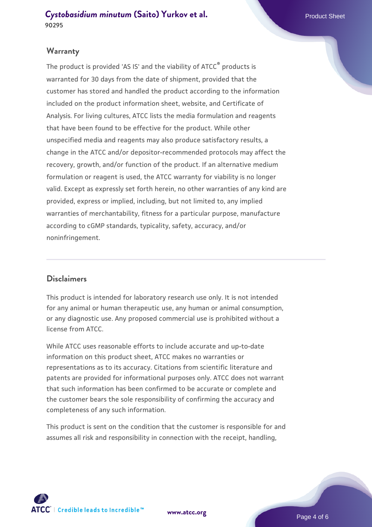#### **Warranty**

The product is provided 'AS IS' and the viability of ATCC® products is warranted for 30 days from the date of shipment, provided that the customer has stored and handled the product according to the information included on the product information sheet, website, and Certificate of Analysis. For living cultures, ATCC lists the media formulation and reagents that have been found to be effective for the product. While other unspecified media and reagents may also produce satisfactory results, a change in the ATCC and/or depositor-recommended protocols may affect the recovery, growth, and/or function of the product. If an alternative medium formulation or reagent is used, the ATCC warranty for viability is no longer valid. Except as expressly set forth herein, no other warranties of any kind are provided, express or implied, including, but not limited to, any implied warranties of merchantability, fitness for a particular purpose, manufacture according to cGMP standards, typicality, safety, accuracy, and/or noninfringement.

#### **Disclaimers**

This product is intended for laboratory research use only. It is not intended for any animal or human therapeutic use, any human or animal consumption, or any diagnostic use. Any proposed commercial use is prohibited without a license from ATCC.

While ATCC uses reasonable efforts to include accurate and up-to-date information on this product sheet, ATCC makes no warranties or representations as to its accuracy. Citations from scientific literature and patents are provided for informational purposes only. ATCC does not warrant that such information has been confirmed to be accurate or complete and the customer bears the sole responsibility of confirming the accuracy and completeness of any such information.

This product is sent on the condition that the customer is responsible for and assumes all risk and responsibility in connection with the receipt, handling,



**[www.atcc.org](http://www.atcc.org)**

Page 4 of 6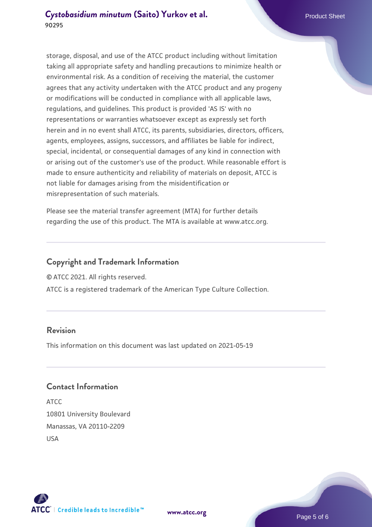storage, disposal, and use of the ATCC product including without limitation taking all appropriate safety and handling precautions to minimize health or environmental risk. As a condition of receiving the material, the customer agrees that any activity undertaken with the ATCC product and any progeny or modifications will be conducted in compliance with all applicable laws, regulations, and guidelines. This product is provided 'AS IS' with no representations or warranties whatsoever except as expressly set forth herein and in no event shall ATCC, its parents, subsidiaries, directors, officers, agents, employees, assigns, successors, and affiliates be liable for indirect, special, incidental, or consequential damages of any kind in connection with or arising out of the customer's use of the product. While reasonable effort is made to ensure authenticity and reliability of materials on deposit, ATCC is not liable for damages arising from the misidentification or misrepresentation of such materials.

Please see the material transfer agreement (MTA) for further details regarding the use of this product. The MTA is available at www.atcc.org.

#### **Copyright and Trademark Information**

© ATCC 2021. All rights reserved.

ATCC is a registered trademark of the American Type Culture Collection.

#### **Revision**

This information on this document was last updated on 2021-05-19

#### **Contact Information**

ATCC 10801 University Boulevard Manassas, VA 20110-2209 USA